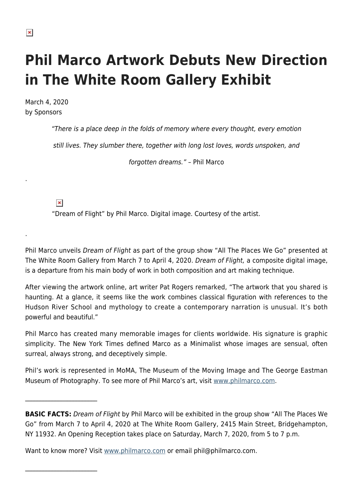## **Phil Marco Artwork Debuts New Direction in The White Room Gallery Exhibit**

March 4, 2020 by Sponsors

"There is a place deep in the folds of memory where every thought, every emotion

still lives. They slumber there, together with long lost loves, words unspoken, and

forgotten dreams." – Phil Marco

 $\pmb{\times}$ 

 $\mathcal{L}_\text{max}$ 

 $\mathcal{L}_\text{max}$ 

"Dream of Flight" by Phil Marco. Digital image. Courtesy of the artist.

Phil Marco unveils Dream of Flight as part of the group show "All The Places We Go" presented at The White Room Gallery from March 7 to April 4, 2020. Dream of Flight, a composite digital image, is a departure from his main body of work in both composition and art making technique.

After viewing the artwork online, art writer Pat Rogers remarked, "The artwork that you shared is haunting. At a glance, it seems like the work combines classical figuration with references to the Hudson River School and mythology to create a contemporary narration is unusual. It's both powerful and beautiful."

Phil Marco has created many memorable images for clients worldwide. His signature is graphic simplicity. The New York Times defined Marco as a Minimalist whose images are sensual, often surreal, always strong, and deceptively simple.

Phil's work is represented in MoMA, The Museum of the Moving Image and The George Eastman Museum of Photography. To see more of Phil Marco's art, visit [www.philmarco.com.](http://www.philmarco.com/)

.

.

**BASIC FACTS:** Dream of Flight by Phil Marco will be exhibited in the group show "All The Places We Go" from March 7 to April 4, 2020 at The White Room Gallery, 2415 Main Street, Bridgehampton, NY 11932. An Opening Reception takes place on Saturday, March 7, 2020, from 5 to 7 p.m.

Want to know more? Visit [www.philmarco.com](http://www.philmarco.com/) or email phil@philmarco.com.